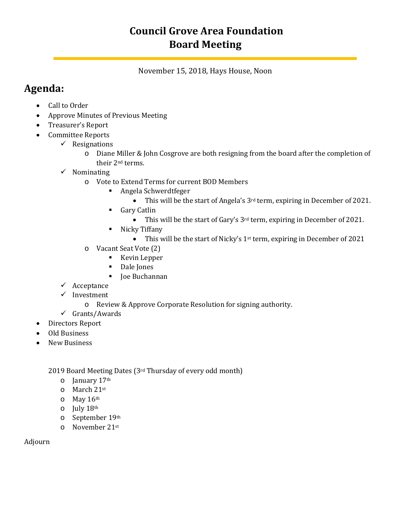# **Council Grove Area Foundation Board Meeting**

November 15, 2018, Hays House, Noon

## **Agenda:**

- Call to Order
- Approve Minutes of Previous Meeting
- Treasurer's Report
- Committee Reports
	- $\checkmark$  Resignations
		- o Diane Miller & John Cosgrove are both resigning from the board after the completion of their 2nd terms.
	- $\checkmark$  Nominating
		- o Vote to Extend Terms for current BOD Members
			- Angela Schwerdtfeger
				- This will be the start of Angela's  $3<sup>rd</sup>$  term, expiring in December of 2021.
			- **Gary Catlin** 
				- This will be the start of Gary's 3<sup>rd</sup> term, expiring in December of 2021.
			- **Nicky Tiffany** 
				- This will be the start of Nicky's 1<sup>st</sup> term, expiring in December of 2021
		- o Vacant Seat Vote (2)
			- **Kevin Lepper**
			- Dale Jones
			- Joe Buchannan
	- $\checkmark$  Acceptance
	- $\checkmark$  Investment
		- o Review & Approve Corporate Resolution for signing authority.
	- $\checkmark$  Grants/Awards
- Directors Report
- Old Business
- New Business

2019 Board Meeting Dates (3rd Thursday of every odd month)

- o January 17th
- o March 21st
- o May 16th
- o July 18th
- o September 19th
- o November 21st

Adjourn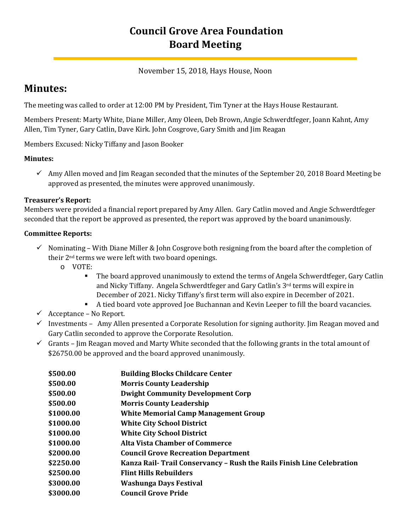## **Council Grove Area Foundation Board Meeting**

### November 15, 2018, Hays House, Noon

## **Minutes:**

The meeting was called to order at 12:00 PM by President, Tim Tyner at the Hays House Restaurant.

Members Present: Marty White, Diane Miller, Amy Oleen, Deb Brown, Angie Schwerdtfeger, Joann Kahnt, Amy Allen, Tim Tyner, Gary Catlin, Dave Kirk. John Cosgrove, Gary Smith and Jim Reagan

Members Excused: Nicky Tiffany and Jason Booker

### **Minutes:**

 $\checkmark$  Amy Allen moved and Jim Reagan seconded that the minutes of the September 20, 2018 Board Meeting be approved as presented, the minutes were approved unanimously.

### **Treasurer's Report:**

Members were provided a financial report prepared by Amy Allen. Gary Catlin moved and Angie Schwerdtfeger seconded that the report be approved as presented, the report was approved by the board unanimously.

### **Committee Reports:**

- $\checkmark$  Nominating With Diane Miller & John Cosgrove both resigning from the board after the completion of their 2nd terms we were left with two board openings.
	- o VOTE:
		- The board approved unanimously to extend the terms of Angela Schwerdtfeger, Gary Catlin and Nicky Tiffany. Angela Schwerdtfeger and Gary Catlin's 3rd terms will expire in December of 2021. Nicky Tiffany's first term will also expire in December of 2021.
		- A tied board vote approved Joe Buchannan and Kevin Leeper to fill the board vacancies.
- $\checkmark$  Acceptance No Report.
- $\checkmark$  Investments Amy Allen presented a Corporate Resolution for signing authority. Jim Reagan moved and Gary Catlin seconded to approve the Corporate Resolution.
- $\checkmark$  Grants Jim Reagan moved and Marty White seconded that the following grants in the total amount of \$26750.00 be approved and the board approved unanimously.

| \$500.00  | <b>Building Blocks Childcare Center</b>                                |
|-----------|------------------------------------------------------------------------|
| \$500.00  | <b>Morris County Leadership</b>                                        |
| \$500.00  | <b>Dwight Community Development Corp</b>                               |
| \$500.00  | <b>Morris County Leadership</b>                                        |
| \$1000.00 | <b>White Memorial Camp Management Group</b>                            |
| \$1000.00 | <b>White City School District</b>                                      |
| \$1000.00 | <b>White City School District</b>                                      |
| \$1000.00 | <b>Alta Vista Chamber of Commerce</b>                                  |
| \$2000.00 | <b>Council Grove Recreation Department</b>                             |
| \$2250.00 | Kanza Rail- Trail Conservancy – Rush the Rails Finish Line Celebration |
| \$2500.00 | <b>Flint Hills Rebuilders</b>                                          |
| \$3000.00 | <b>Washunga Days Festival</b>                                          |
| \$3000.00 | <b>Council Grove Pride</b>                                             |
|           |                                                                        |